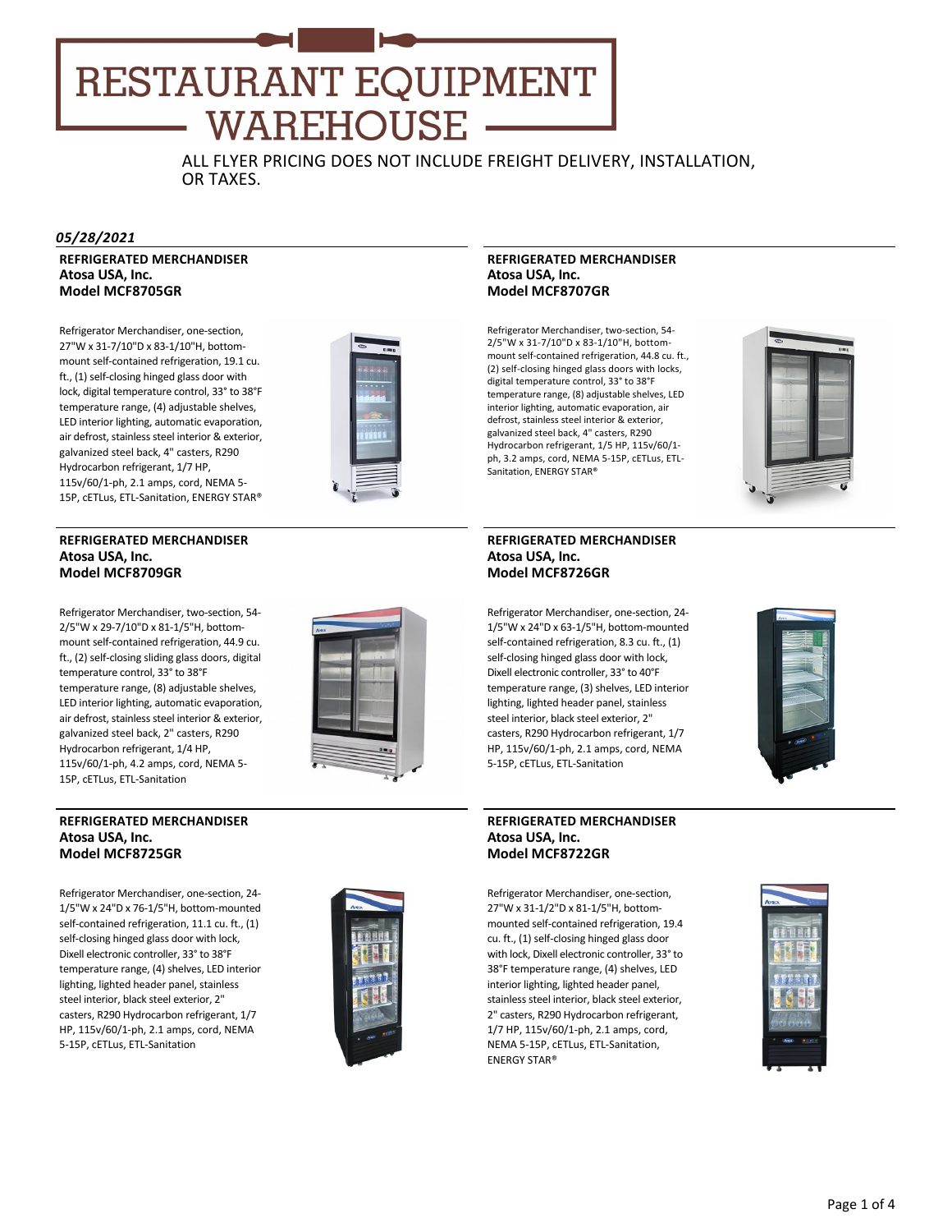## RESTAURANT EQUIPMENT **WAREHOUSE**

ALL FLYER PRICING DOES NOT INCLUDE FREIGHT DELIVERY, INSTALLATION, OR TAXES.

#### *05/28/2021*

**REFRIGERATED MERCHANDISER Atosa USA, Inc. Model MCF8705GR**

Refrigerator Merchandiser, one‐section, 27"W x 31‐7/10"D x 83‐1/10"H, bottom‐ mount self-contained refrigeration, 19.1 cu. ft., (1) self‐closing hinged glass door with lock, digital temperature control, 33° to 38°F temperature range, (4) adjustable shelves, LED interior lighting, automatic evaporation, air defrost, stainless steel interior & exterior, galvanized steel back, 4" casters, R290 Hydrocarbon refrigerant, 1/7 HP, 115v/60/1‐ph, 2.1 amps, cord, NEMA 5‐ 15P, cETLus, ETL‐Sanitation, ENERGY STAR®



#### **REFRIGERATED MERCHANDISER Atosa USA, Inc. Model MCF8709GR**

Refrigerator Merchandiser, two‐section, 54‐ 2/5"W x 29‐7/10"D x 81‐1/5"H, bottom‐ mount self-contained refrigeration, 44.9 cu. ft., (2) self‐closing sliding glass doors, digital temperature control, 33° to 38°F temperature range, (8) adjustable shelves, LED interior lighting, automatic evaporation, air defrost, stainless steel interior & exterior, galvanized steel back, 2" casters, R290 Hydrocarbon refrigerant, 1/4 HP, 115v/60/1‐ph, 4.2 amps, cord, NEMA 5‐ 15P, cETLus, ETL‐Sanitation



#### **REFRIGERATED MERCHANDISER Atosa USA, Inc. Model MCF8725GR**

Refrigerator Merchandiser, one‐section, 24‐ 1/5"W x 24"D x 76‐1/5"H, bottom‐mounted self-contained refrigeration, 11.1 cu. ft., (1) self-closing hinged glass door with lock, Dixell electronic controller, 33° to 38°F temperature range, (4) shelves, LED interior lighting, lighted header panel, stainless steel interior, black steel exterior, 2" casters, R290 Hydrocarbon refrigerant, 1/7 HP, 115v/60/1‐ph, 2.1 amps, cord, NEMA 5‐15P, cETLus, ETL‐Sanitation



#### **REFRIGERATED MERCHANDISER Atosa USA, Inc. Model MCF8707GR**

Refrigerator Merchandiser, two‐section, 54‐ 2/5"W x 31‐7/10"D x 83‐1/10"H, bottom‐ mount self‐contained refrigeration, 44.8 cu. ft., (2) self‐closing hinged glass doors with locks, digital temperature control, 33° to 38°F temperature range, (8) adjustable shelves, LED interior lighting, automatic evaporation, air defrost, stainless steel interior & exterior, galvanized steel back, 4" casters, R290 Hydrocarbon refrigerant, 1/5 HP, 115v/60/1‐ ph, 3.2 amps, cord, NEMA 5‐15P, cETLus, ETL‐ Sanitation, ENERGY STAR®



#### **REFRIGERATED MERCHANDISER Atosa USA, Inc. Model MCF8726GR**

Refrigerator Merchandiser, one‐section, 24‐ 1/5"W x 24"D x 63‐1/5"H, bottom‐mounted self-contained refrigeration, 8.3 cu. ft., (1) self-closing hinged glass door with lock, Dixell electronic controller, 33° to 40°F temperature range, (3) shelves, LED interior lighting, lighted header panel, stainless steel interior, black steel exterior, 2" casters, R290 Hydrocarbon refrigerant, 1/7 HP, 115v/60/1‐ph, 2.1 amps, cord, NEMA 5‐15P, cETLus, ETL‐Sanitation



#### **REFRIGERATED MERCHANDISER Atosa USA, Inc. Model MCF8722GR**

Refrigerator Merchandiser, one‐section, 27"W x 31‐1/2"D x 81‐1/5"H, bottom‐ mounted self‐contained refrigeration, 19.4 cu. ft., (1) self‐closing hinged glass door with lock, Dixell electronic controller, 33° to 38°F temperature range, (4) shelves, LED interior lighting, lighted header panel, stainless steel interior, black steel exterior, 2" casters, R290 Hydrocarbon refrigerant, 1/7 HP, 115v/60/1‐ph, 2.1 amps, cord, NEMA 5‐15P, cETLus, ETL‐Sanitation, ENERGY STAR®

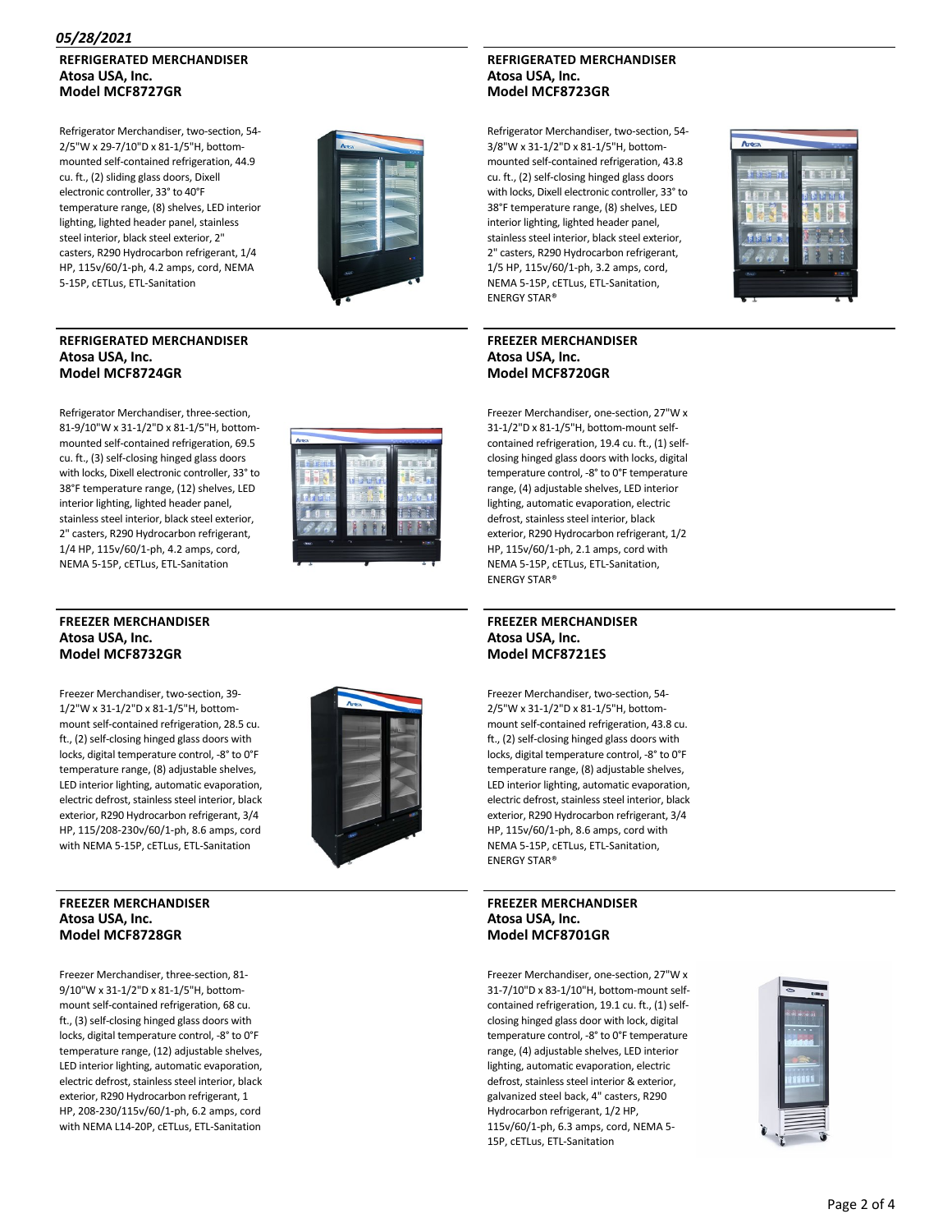#### *05/28/2021*

#### **REFRIGERATED MERCHANDISER Atosa USA, Inc. Model MCF8727GR**

Refrigerator Merchandiser, two‐section, 54‐ 2/5"W x 29‐7/10"D x 81‐1/5"H, bottom‐ mounted self‐contained refrigeration, 44.9 cu. ft., (2) sliding glass doors, Dixell electronic controller, 33° to 40°F temperature range, (8) shelves, LED interior lighting, lighted header panel, stainless steel interior, black steel exterior, 2" casters, R290 Hydrocarbon refrigerant, 1/4 HP, 115v/60/1‐ph, 4.2 amps, cord, NEMA 5‐15P, cETLus, ETL‐Sanitation



#### **REFRIGERATED MERCHANDISER Atosa USA, Inc. Model MCF8724GR**

#### **REFRIGERATED MERCHANDISER Atosa USA, Inc. Model MCF8723GR**

Refrigerator Merchandiser, two‐section, 54‐ 3/8"W x 31‐1/2"D x 81‐1/5"H, bottom‐ mounted self‐contained refrigeration, 43.8 cu. ft., (2) self‐closing hinged glass doors with locks, Dixell electronic controller, 33° to 38°F temperature range, (8) shelves, LED interior lighting, lighted header panel, stainless steel interior, black steel exterior, 2" casters, R290 Hydrocarbon refrigerant, 1/5 HP, 115v/60/1‐ph, 3.2 amps, cord, NEMA 5‐15P, cETLus, ETL‐Sanitation,

# **Model MCF8720GR**



Refrigerator Merchandiser, three‐section, 81‐9/10"W x 31‐1/2"D x 81‐1/5"H, bottom‐ mounted self‐contained refrigeration, 69.5 cu. ft., (3) self‐closing hinged glass doors with locks, Dixell electronic controller, 33° to 38°F temperature range, (12) shelves, LED interior lighting, lighted header panel, stainless steel interior, black steel exterior, 2" casters, R290 Hydrocarbon refrigerant, 1/4 HP, 115v/60/1‐ph, 4.2 amps, cord, NEMA 5‐15P, cETLus, ETL‐Sanitation



#### **FREEZER MERCHANDISER Atosa USA, Inc. Model MCF8732GR**

Freezer Merchandiser, two‐section, 39‐ 1/2"W x 31‐1/2"D x 81‐1/5"H, bottom‐ mount self‐contained refrigeration, 28.5 cu. ft., (2) self‐closing hinged glass doors with locks, digital temperature control, ‐8° to 0°F temperature range, (8) adjustable shelves, LED interior lighting, automatic evaporation, electric defrost, stainless steel interior, black exterior, R290 Hydrocarbon refrigerant, 3/4 HP, 115/208‐230v/60/1‐ph, 8.6 amps, cord with NEMA 5‐15P, cETLus, ETL‐Sanitation



#### **FREEZER MERCHANDISER Atosa USA, Inc. Model MCF8728GR**

Freezer Merchandiser, three‐section, 81‐ 9/10"W x 31‐1/2"D x 81‐1/5"H, bottom‐ mount self‐contained refrigeration, 68 cu. ft., (3) self‐closing hinged glass doors with locks, digital temperature control, ‐8° to 0°F temperature range, (12) adjustable shelves, LED interior lighting, automatic evaporation, electric defrost, stainless steel interior, black exterior, R290 Hydrocarbon refrigerant, 1 HP, 208‐230/115v/60/1‐ph, 6.2 amps, cord with NEMA L14‐20P, cETLus, ETL‐Sanitation

ENERGY STAR® **FREEZER MERCHANDISER Atosa USA, Inc.**

Freezer Merchandiser, one‐section, 27"W x 31‐1/2"D x 81‐1/5"H, bottom‐mount self‐ contained refrigeration, 19.4 cu. ft., (1) self‐ closing hinged glass doors with locks, digital temperature control, ‐8° to 0°F temperature range, (4) adjustable shelves, LED interior lighting, automatic evaporation, electric defrost, stainless steel interior, black exterior, R290 Hydrocarbon refrigerant, 1/2 HP, 115v/60/1‐ph, 2.1 amps, cord with NEMA 5‐15P, cETLus, ETL‐Sanitation, ENERGY STAR®

#### **FREEZER MERCHANDISER Atosa USA, Inc. Model MCF8721ES**

Freezer Merchandiser, two‐section, 54‐ 2/5"W x 31‐1/2"D x 81‐1/5"H, bottom‐ mount self‐contained refrigeration, 43.8 cu. ft., (2) self‐closing hinged glass doors with locks, digital temperature control, ‐8° to 0°F temperature range, (8) adjustable shelves, LED interior lighting, automatic evaporation, electric defrost, stainless steel interior, black exterior, R290 Hydrocarbon refrigerant, 3/4 HP, 115v/60/1‐ph, 8.6 amps, cord with NEMA 5‐15P, cETLus, ETL‐Sanitation, ENERGY STAR®

#### **FREEZER MERCHANDISER Atosa USA, Inc. Model MCF8701GR**

Freezer Merchandiser, one‐section, 27"W x 31‐7/10"D x 83‐1/10"H, bottom‐mount self‐ contained refrigeration, 19.1 cu. ft., (1) self‐ closing hinged glass door with lock, digital temperature control, ‐8° to 0°F temperature range, (4) adjustable shelves, LED interior lighting, automatic evaporation, electric defrost, stainless steel interior & exterior, galvanized steel back, 4" casters, R290 Hydrocarbon refrigerant, 1/2 HP, 115v/60/1‐ph, 6.3 amps, cord, NEMA 5‐ 15P, cETLus, ETL‐Sanitation

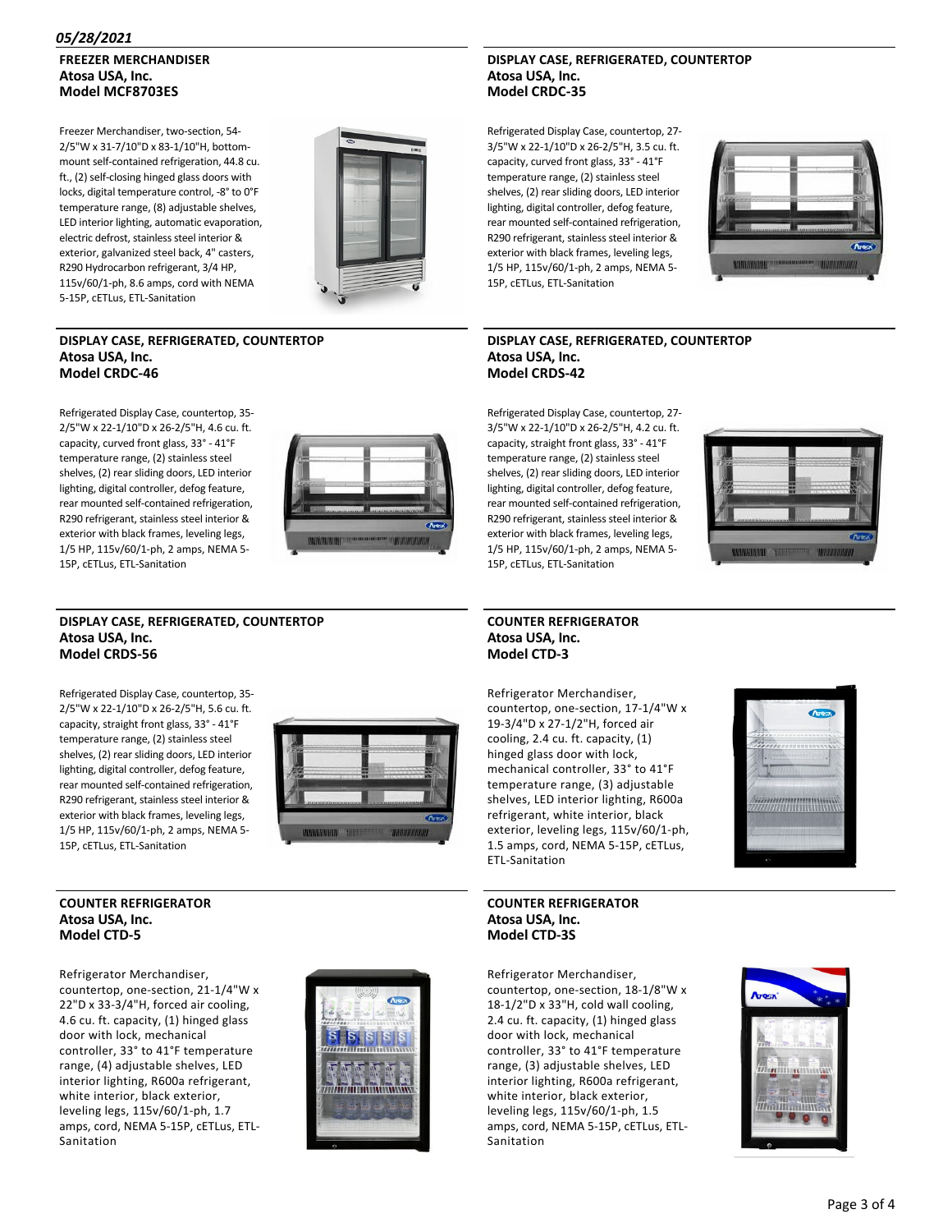#### *05/28/2021*

### **FREEZER MERCHANDISER Atosa USA, Inc. Model MCF8703ES**

Freezer Merchandiser, two-section, 54-2/5"W x 31‐7/10"D x 83‐1/10"H, bottom‐ mount self‐contained refrigeration, 44.8 cu. ft., (2) self‐closing hinged glass doors with locks, digital temperature control, ‐8° to 0°F temperature range, (8) adjustable shelves, LED interior lighting, automatic evaporation, electric defrost, stainless steel interior & exterior, galvanized steel back, 4" casters, R290 Hydrocarbon refrigerant, 3/4 HP, 115v/60/1‐ph, 8.6 amps, cord with NEMA 5‐15P, cETLus, ETL‐Sanitation



#### **DISPLAY CASE, REFRIGERATED, COUNTERTOP Atosa USA, Inc. Model CRDC‐46**

Refrigerated Display Case, countertop, 35‐ 2/5"W x 22‐1/10"D x 26‐2/5"H, 4.6 cu. ft. capacity, curved front glass, 33° ‐ 41°F temperature range, (2) stainless steel shelves, (2) rear sliding doors, LED interior lighting, digital controller, defog feature, rear mounted self‐contained refrigeration, R290 refrigerant, stainless steel interior & exterior with black frames, leveling legs, 1/5 HP, 115v/60/1‐ph, 2 amps, NEMA 5‐ 15P, cETLus, ETL‐Sanitation



#### **DISPLAY CASE, REFRIGERATED, COUNTERTOP Atosa USA, Inc. Model CRDS‐56**

Refrigerated Display Case, countertop, 35‐ 2/5"W x 22‐1/10"D x 26‐2/5"H, 5.6 cu. ft. capacity, straight front glass, 33° ‐ 41°F temperature range, (2) stainless steel shelves, (2) rear sliding doors, LED interior lighting, digital controller, defog feature, rear mounted self‐contained refrigeration, R290 refrigerant, stainless steel interior & exterior with black frames, leveling legs, 1/5 HP, 115v/60/1‐ph, 2 amps, NEMA 5‐ 15P, cETLus, ETL‐Sanitation



#### **COUNTER REFRIGERATOR Atosa USA, Inc. Model CTD‐5**

Refrigerator Merchandiser, countertop, one‐section, 21‐1/4"W x 22"D x 33‐3/4"H, forced air cooling, 4.6 cu. ft. capacity, (1) hinged glass door with lock, mechanical controller, 33° to 41°F temperature range, (4) adjustable shelves, LED interior lighting, R600a refrigerant, white interior, black exterior, leveling legs, 115v/60/1‐ph, 1.7 amps, cord, NEMA 5‐15P, cETLus, ETL‐ Sanitation



#### **DISPLAY CASE, REFRIGERATED, COUNTERTOP Atosa USA, Inc. Model CRDC‐35**

Refrigerated Display Case, countertop, 27‐ 3/5"W x 22‐1/10"D x 26‐2/5"H, 3.5 cu. ft. capacity, curved front glass, 33° ‐ 41°F temperature range, (2) stainless steel shelves, (2) rear sliding doors, LED interior lighting, digital controller, defog feature, rear mounted self‐contained refrigeration, R290 refrigerant, stainless steel interior & exterior with black frames, leveling legs, 1/5 HP, 115v/60/1‐ph, 2 amps, NEMA 5‐ 15P, cETLus, ETL‐Sanitation



#### **DISPLAY CASE, REFRIGERATED, COUNTERTOP Atosa USA, Inc. Model CRDS‐42**

Refrigerated Display Case, countertop, 27‐ 3/5"W x 22‐1/10"D x 26‐2/5"H, 4.2 cu. ft. capacity, straight front glass, 33° ‐ 41°F temperature range, (2) stainless steel shelves, (2) rear sliding doors, LED interior lighting, digital controller, defog feature, rear mounted self‐contained refrigeration, R290 refrigerant, stainless steel interior & exterior with black frames, leveling legs, 1/5 HP, 115v/60/1‐ph, 2 amps, NEMA 5‐ 15P, cETLus, ETL‐Sanitation



#### **COUNTER REFRIGERATOR Atosa USA, Inc. Model CTD‐3**

Refrigerator Merchandiser, countertop, one‐section, 17‐1/4"W x 19‐3/4"D x 27‐1/2"H, forced air cooling, 2.4 cu. ft. capacity, (1) hinged glass door with lock, mechanical controller, 33° to 41°F temperature range, (3) adjustable shelves, LED interior lighting, R600a refrigerant, white interior, black exterior, leveling legs, 115v/60/1‐ph, 1.5 amps, cord, NEMA 5‐15P, cETLus, ETL‐Sanitation



**COUNTER REFRIGERATOR Atosa USA, Inc. Model CTD‐3S**

Refrigerator Merchandiser, countertop, one‐section, 18‐1/8"W x 18‐1/2"D x 33"H, cold wall cooling, 2.4 cu. ft. capacity, (1) hinged glass door with lock, mechanical controller, 33° to 41°F temperature range, (3) adjustable shelves, LED interior lighting, R600a refrigerant, white interior, black exterior, leveling legs, 115v/60/1‐ph, 1.5 amps, cord, NEMA 5‐15P, cETLus, ETL‐ Sanitation